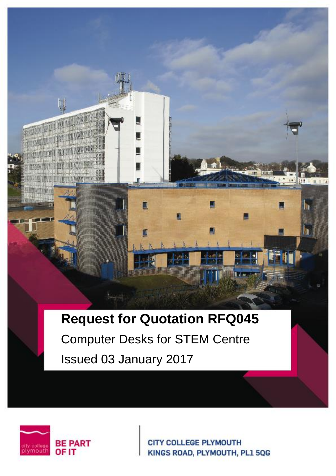# **Request for Quotation RFQ045**

а

Δ

Computer Desks for STEM Centre Issued 03 January 2017



**CITY COLLEGE PLYMOUTH** KINGS ROAD, PLYMOUTH, PL1 5QG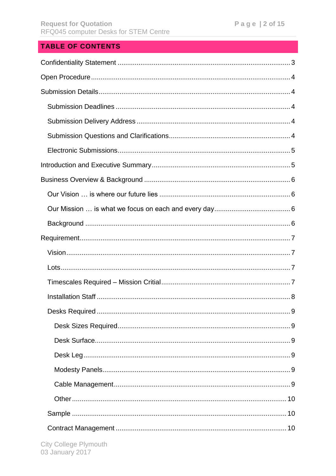# **TABLE OF CONTENTS**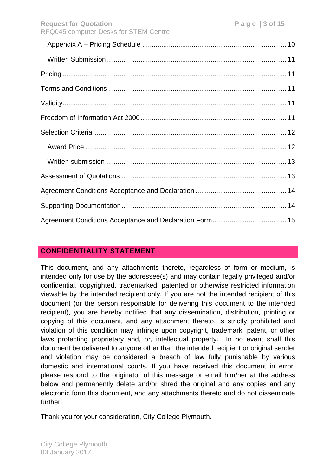# <span id="page-2-0"></span>**CONFIDENTIALITY STATEMENT**

This document, and any attachments thereto, regardless of form or medium, is intended only for use by the addressee(s) and may contain legally privileged and/or confidential, copyrighted, trademarked, patented or otherwise restricted information viewable by the intended recipient only. If you are not the intended recipient of this document (or the person responsible for delivering this document to the intended recipient), you are hereby notified that any dissemination, distribution, printing or copying of this document, and any attachment thereto, is strictly prohibited and violation of this condition may infringe upon copyright, trademark, patent, or other laws protecting proprietary and, or, intellectual property. In no event shall this document be delivered to anyone other than the intended recipient or original sender and violation may be considered a breach of law fully punishable by various domestic and international courts. If you have received this document in error, please respond to the originator of this message or email him/her at the address below and permanently delete and/or shred the original and any copies and any electronic form this document, and any attachments thereto and do not disseminate further.

Thank you for your consideration, City College Plymouth.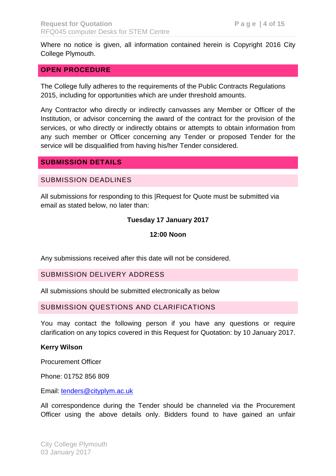Where no notice is given, all information contained herein is Copyright 2016 City College Plymouth.

#### <span id="page-3-0"></span>**OPEN PROCEDURE**

The College fully adheres to the requirements of the Public Contracts Regulations 2015, including for opportunities which are under threshold amounts.

Any Contractor who directly or indirectly canvasses any Member or Officer of the Institution, or advisor concerning the award of the contract for the provision of the services, or who directly or indirectly obtains or attempts to obtain information from any such member or Officer concerning any Tender or proposed Tender for the service will be disqualified from having his/her Tender considered.

### <span id="page-3-1"></span>**SUBMISSION DETAILS**

#### <span id="page-3-2"></span>SUBMISSION DEADLINES

All submissions for responding to this |Request for Quote must be submitted via email as stated below, no later than:

#### **Tuesday 17 January 2017**

#### **12:00 Noon**

Any submissions received after this date will not be considered.

#### <span id="page-3-3"></span>SUBMISSION DELIVERY ADDRESS

All submissions should be submitted electronically as below

#### <span id="page-3-4"></span>SUBMISSION QUESTIONS AND CLARIFICATIONS

You may contact the following person if you have any questions or require clarification on any topics covered in this Request for Quotation: by 10 January 2017.

#### **Kerry Wilson**

Procurement Officer

Phone: 01752 856 809

Email: [tenders@cityplym.ac.uk](mailto:tenders@cityplym.ac.uk)

All correspondence during the Tender should be channeled via the Procurement Officer using the above details only. Bidders found to have gained an unfair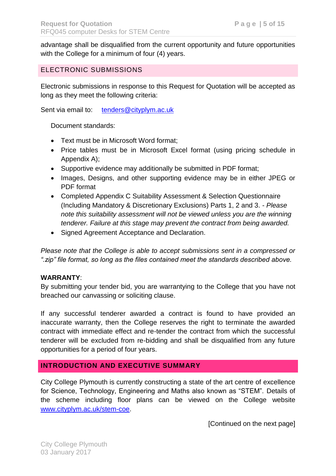advantage shall be disqualified from the current opportunity and future opportunities with the College for a minimum of four (4) years.

## <span id="page-4-0"></span>ELECTRONIC SUBMISSIONS

Electronic submissions in response to this Request for Quotation will be accepted as long as they meet the following criteria:

Sent via email to: [tenders@cityplym.ac.uk](mailto:tenders@cityplym.ac.uk)

Document standards:

- Text must be in Microsoft Word format;
- Price tables must be in Microsoft Excel format (using pricing schedule in Appendix A);
- Supportive evidence may additionally be submitted in PDF format;
- Images, Designs, and other supporting evidence may be in either JPEG or PDF format
- Completed Appendix C Suitability Assessment & Selection Questionnaire (Including Mandatory & Discretionary Exclusions) Parts 1, 2 and 3. - *Please note this suitability assessment will not be viewed unless you are the winning tenderer. Failure at this stage may prevent the contract from being awarded.*
- Signed Agreement Acceptance and Declaration.

*Please note that the College is able to accept submissions sent in a compressed or ".zip" file format, so long as the files contained meet the standards described above.* 

### **WARRANTY**:

By submitting your tender bid, you are warrantying to the College that you have not breached our canvassing or soliciting clause.

If any successful tenderer awarded a contract is found to have provided an inaccurate warranty, then the College reserves the right to terminate the awarded contract with immediate effect and re-tender the contract from which the successful tenderer will be excluded from re-bidding and shall be disqualified from any future opportunities for a period of four years.

## <span id="page-4-1"></span>**INTRODUCTION AND EXECUTIVE SUMMARY**

City College Plymouth is currently constructing a state of the art centre of excellence for Science, Technology, Engineering and Maths also known as "STEM". Details of the scheme including floor plans can be viewed on the College website [www.cityplym.ac.uk/stem-coe.](http://www.cityplym.ac.uk/stem-coe)

[Continued on the next page]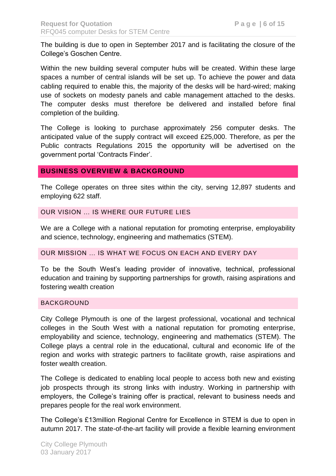The building is due to open in September 2017 and is facilitating the closure of the College's Goschen Centre.

Within the new building several computer hubs will be created. Within these large spaces a number of central islands will be set up. To achieve the power and data cabling required to enable this, the majority of the desks will be hard-wired; making use of sockets on modesty panels and cable management attached to the desks. The computer desks must therefore be delivered and installed before final completion of the building.

The College is looking to purchase approximately 256 computer desks. The anticipated value of the supply contract will exceed £25,000. Therefore, as per the Public contracts Regulations 2015 the opportunity will be advertised on the government portal 'Contracts Finder'.

## <span id="page-5-0"></span>**BUSINESS OVERVIEW & BACKGROUND**

The College operates on three sites within the city, serving 12,897 students and employing 622 staff.

#### <span id="page-5-1"></span>OUR VISION … IS WHERE OUR FUTURE LIES

We are a College with a national reputation for promoting enterprise, employability and science, technology, engineering and mathematics (STEM).

#### <span id="page-5-2"></span>OUR MISSION … IS WHAT WE FOCUS ON EACH AND EVERY DAY

To be the South West's leading provider of innovative, technical, professional education and training by supporting partnerships for growth, raising aspirations and fostering wealth creation

#### <span id="page-5-3"></span>BACKGROUND

City College Plymouth is one of the largest professional, vocational and technical colleges in the South West with a national reputation for promoting enterprise, employability and science, technology, engineering and mathematics (STEM). The College plays a central role in the educational, cultural and economic life of the region and works with strategic partners to facilitate growth, raise aspirations and foster wealth creation.

The College is dedicated to enabling local people to access both new and existing job prospects through its strong links with industry. Working in partnership with employers, the College's training offer is practical, relevant to business needs and prepares people for the real work environment.

The College's £13million Regional Centre for Excellence in STEM is due to open in autumn 2017. The state-of-the-art facility will provide a flexible learning environment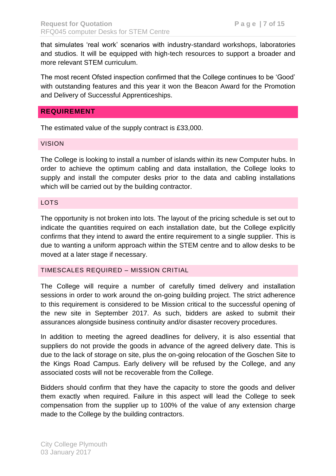that simulates 'real work' scenarios with industry-standard workshops, laboratories and studios. It will be equipped with high-tech resources to support a broader and more relevant STEM curriculum.

The most recent Ofsted inspection confirmed that the College continues to be 'Good' with outstanding features and this year it won the Beacon Award for the Promotion and Delivery of Successful Apprenticeships.

## <span id="page-6-0"></span>**REQUIREMENT**

The estimated value of the supply contract is £33,000.

#### <span id="page-6-1"></span>VISION

The College is looking to install a number of islands within its new Computer hubs. In order to achieve the optimum cabling and data installation, the College looks to supply and install the computer desks prior to the data and cabling installations which will be carried out by the building contractor.

#### <span id="page-6-2"></span>LOTS

The opportunity is not broken into lots. The layout of the pricing schedule is set out to indicate the quantities required on each installation date, but the College explicitly confirms that they intend to award the entire requirement to a single supplier. This is due to wanting a uniform approach within the STEM centre and to allow desks to be moved at a later stage if necessary.

## <span id="page-6-3"></span>TIMESCALES REQUIRED – MISSION CRITIAL

The College will require a number of carefully timed delivery and installation sessions in order to work around the on-going building project. The strict adherence to this requirement is considered to be Mission critical to the successful opening of the new site in September 2017. As such, bidders are asked to submit their assurances alongside business continuity and/or disaster recovery procedures.

In addition to meeting the agreed deadlines for delivery, it is also essential that suppliers do not provide the goods in advance of the agreed delivery date. This is due to the lack of storage on site, plus the on-going relocation of the Goschen Site to the Kings Road Campus. Early delivery will be refused by the College, and any associated costs will not be recoverable from the College.

Bidders should confirm that they have the capacity to store the goods and deliver them exactly when required. Failure in this aspect will lead the College to seek compensation from the supplier up to 100% of the value of any extension charge made to the College by the building contractors.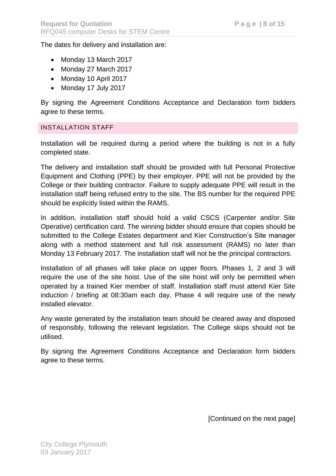The dates for delivery and installation are:

- Monday 13 March 2017
- Monday 27 March 2017
- Monday 10 April 2017
- Monday 17 July 2017

By signing the Agreement Conditions Acceptance and Declaration form bidders agree to these terms.

#### <span id="page-7-0"></span>INSTALLATION STAFF

Installation will be required during a period where the building is not in a fully completed state.

The delivery and installation staff should be provided with full Personal Protective Equipment and Clothing (PPE) by their employer. PPE will not be provided by the College or their building contractor. Failure to supply adequate PPE will result in the installation staff being refused entry to the site. The BS number for the required PPE should be explicitly listed within the RAMS.

In addition, installation staff should hold a valid CSCS (Carpenter and/or Site Operative) certification card. The winning bidder should ensure that copies should be submitted to the College Estates department and Kier Construction's Site manager along with a method statement and full risk assessment (RAMS) no later than Monday 13 February 2017. The installation staff will not be the principal contractors.

Installation of all phases will take place on upper floors. Phases 1, 2 and 3 will require the use of the site hoist. Use of the site hoist will only be permitted when operated by a trained Kier member of staff. Installation staff must attend Kier Site induction / briefing at 08:30am each day. Phase 4 will require use of the newly installed elevator.

Any waste generated by the installation team should be cleared away and disposed of responsibly, following the relevant legislation. The College skips should not be utilised.

By signing the Agreement Conditions Acceptance and Declaration form bidders agree to these terms.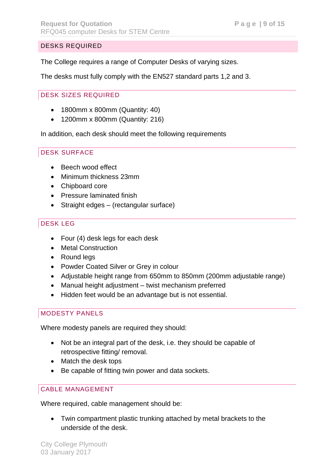## <span id="page-8-0"></span>DESKS REQUIRED

The College requires a range of Computer Desks of varying sizes.

The desks must fully comply with the EN527 standard parts 1,2 and 3.

## <span id="page-8-1"></span>DESK SIZES REQUIRED

- 1800mm x 800mm (Quantity: 40)
- 1200mm x 800mm (Quantity: 216)

In addition, each desk should meet the following requirements

## <span id="page-8-2"></span>DESK SURFACE

- Beech wood effect
- Minimum thickness 23mm
- Chipboard core
- Pressure laminated finish
- Straight edges (rectangular surface)

# <span id="page-8-3"></span>DESK LEG

- Four (4) desk legs for each desk
- Metal Construction
- Round leas
- Powder Coated Silver or Grey in colour
- Adjustable height range from 650mm to 850mm (200mm adjustable range)
- Manual height adjustment twist mechanism preferred
- Hidden feet would be an advantage but is not essential.

## <span id="page-8-4"></span>MODESTY PANELS

Where modesty panels are required they should:

- Not be an integral part of the desk, i.e. they should be capable of retrospective fitting/ removal.
- Match the desk tops
- Be capable of fitting twin power and data sockets.

## <span id="page-8-5"></span>CABLE MANAGEMENT

Where required, cable management should be:

 Twin compartment plastic trunking attached by metal brackets to the underside of the desk.

City College Plymouth 03 January 2017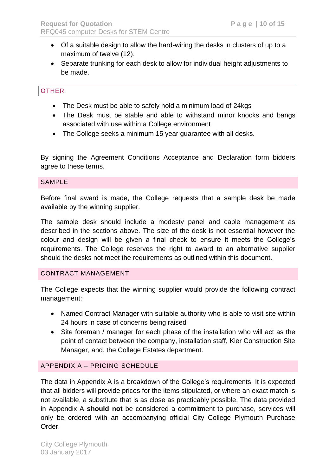- Of a suitable design to allow the hard-wiring the desks in clusters of up to a maximum of twelve (12).
- Separate trunking for each desk to allow for individual height adjustments to be made.

## <span id="page-9-0"></span>**OTHER**

- The Desk must be able to safely hold a minimum load of 24kgs
- The Desk must be stable and able to withstand minor knocks and bangs associated with use within a College environment
- The College seeks a minimum 15 year guarantee with all desks.

By signing the Agreement Conditions Acceptance and Declaration form bidders agree to these terms.

#### <span id="page-9-1"></span>SAMPLE

Before final award is made, the College requests that a sample desk be made available by the winning supplier.

The sample desk should include a modesty panel and cable management as described in the sections above. The size of the desk is not essential however the colour and design will be given a final check to ensure it meets the College's requirements. The College reserves the right to award to an alternative supplier should the desks not meet the requirements as outlined within this document.

#### <span id="page-9-2"></span>CONTRACT MANAGEMENT

The College expects that the winning supplier would provide the following contract management:

- Named Contract Manager with suitable authority who is able to visit site within 24 hours in case of concerns being raised
- Site foreman / manager for each phase of the installation who will act as the point of contact between the company, installation staff, Kier Construction Site Manager, and, the College Estates department.

### <span id="page-9-3"></span>APPENDIX A – PRICING SCHEDULE

The data in Appendix A is a breakdown of the College's requirements. It is expected that all bidders will provide prices for the items stipulated, or where an exact match is not available, a substitute that is as close as practicably possible. The data provided in Appendix A **should not** be considered a commitment to purchase, services will only be ordered with an accompanying official City College Plymouth Purchase Order.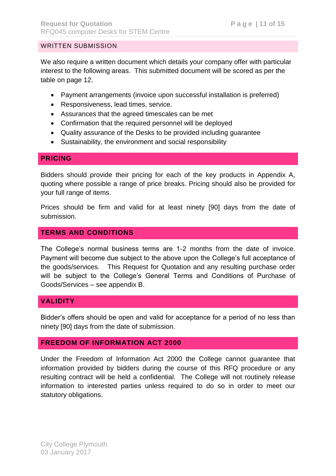#### <span id="page-10-0"></span>WRITTEN SUBMISSION

We also require a written document which details your company offer with particular interest to the following areas. This submitted document will be scored as per the table on page 12.

- Payment arrangements (invoice upon successful installation is preferred)
- Responsiveness, lead times, service.
- Assurances that the agreed timescales can be met
- Confirmation that the required personnel will be deployed
- Quality assurance of the Desks to be provided including guarantee
- Sustainability, the environment and social responsibility

### <span id="page-10-1"></span>**PRICING**

Bidders should provide their pricing for each of the key products in Appendix A, quoting where possible a range of price breaks. Pricing should also be provided for your full range of items.

Prices should be firm and valid for at least ninety [90] days from the date of submission.

## <span id="page-10-2"></span>**TERMS AND CONDITIONS**

The College's normal business terms are 1-2 months from the date of invoice. Payment will become due subject to the above upon the College's full acceptance of the goods/services. This Request for Quotation and any resulting purchase order will be subject to the College's General Terms and Conditions of Purchase of Goods/Services – see appendix B.

## <span id="page-10-3"></span>**VALIDITY**

Bidder's offers should be open and valid for acceptance for a period of no less than ninety [90] days from the date of submission.

### <span id="page-10-4"></span>**FREEDOM OF INFORMATION ACT 2000**

Under the Freedom of Information Act 2000 the College cannot guarantee that information provided by bidders during the course of this RFQ procedure or any resulting contract will be held a confidential. The College will not routinely release information to interested parties unless required to do so in order to meet our statutory obligations.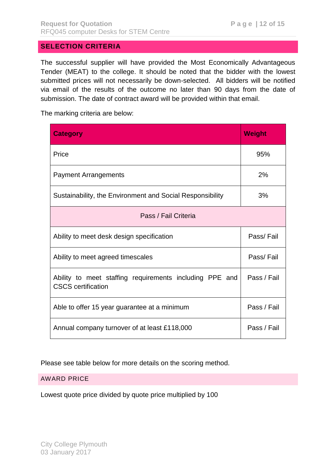## <span id="page-11-0"></span>**SELECTION CRITERIA**

The successful supplier will have provided the Most Economically Advantageous Tender (MEAT) to the college. It should be noted that the bidder with the lowest submitted prices will not necessarily be down-selected. All bidders will be notified via email of the results of the outcome no later than 90 days from the date of submission. The date of contract award will be provided within that email.

The marking criteria are below:

| <b>Category</b>                                                                      | <b>Weight</b> |  |  |  |
|--------------------------------------------------------------------------------------|---------------|--|--|--|
| Price                                                                                | 95%           |  |  |  |
| <b>Payment Arrangements</b>                                                          | 2%            |  |  |  |
| Sustainability, the Environment and Social Responsibility                            | 3%            |  |  |  |
| Pass / Fail Criteria                                                                 |               |  |  |  |
| Ability to meet desk design specification                                            | Pass/Fail     |  |  |  |
| Ability to meet agreed timescales                                                    | Pass/Fail     |  |  |  |
| Ability to meet staffing requirements including PPE and<br><b>CSCS</b> certification | Pass / Fail   |  |  |  |
| Able to offer 15 year guarantee at a minimum                                         | Pass / Fail   |  |  |  |
| Annual company turnover of at least £118,000                                         | Pass / Fail   |  |  |  |

Please see table below for more details on the scoring method.

### <span id="page-11-1"></span>AWARD PRICE

Lowest quote price divided by quote price multiplied by 100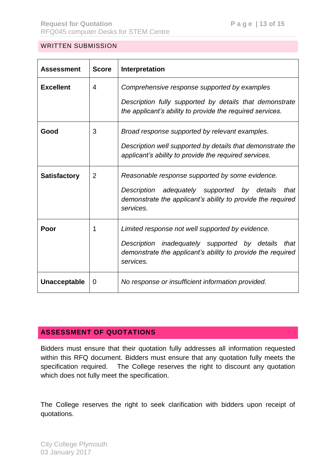### <span id="page-12-0"></span>WRITTEN SUBMISSION

| <b>Assessment</b>   | <b>Score</b>   | Interpretation                                                                                                                                                                                  |
|---------------------|----------------|-------------------------------------------------------------------------------------------------------------------------------------------------------------------------------------------------|
| <b>Excellent</b>    | 4              | Comprehensive response supported by examples<br>Description fully supported by details that demonstrate<br>the applicant's ability to provide the required services.                            |
| Good                | 3              | Broad response supported by relevant examples.<br>Description well supported by details that demonstrate the<br>applicant's ability to provide the required services.                           |
| <b>Satisfactory</b> | $\overline{2}$ | Reasonable response supported by some evidence.<br>adequately supported by<br><b>Description</b><br>details<br>that<br>demonstrate the applicant's ability to provide the required<br>services. |
| Poor                | 1              | Limited response not well supported by evidence.<br>Description inadequately supported by details<br>that<br>demonstrate the applicant's ability to provide the required<br>services.           |
| Unacceptable        | 0              | No response or insufficient information provided.                                                                                                                                               |

# <span id="page-12-1"></span>**ASSESSMENT OF QUOTATIONS**

Bidders must ensure that their quotation fully addresses all information requested within this RFQ document. Bidders must ensure that any quotation fully meets the specification required. The College reserves the right to discount any quotation which does not fully meet the specification.

The College reserves the right to seek clarification with bidders upon receipt of quotations.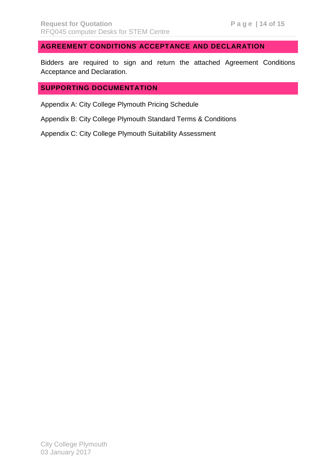# <span id="page-13-0"></span>**AGREEMENT CONDITIONS ACCEPTANCE AND DECLARATION**

Bidders are required to sign and return the attached Agreement Conditions Acceptance and Declaration.

## <span id="page-13-1"></span>**SUPPORTING DOCUMENTATION**

Appendix A: City College Plymouth Pricing Schedule

Appendix B: City College Plymouth Standard Terms & Conditions

Appendix C: City College Plymouth Suitability Assessment